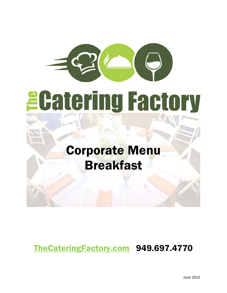# *<u>ECatering Factory</u>*

## Corporate Menu Breakfast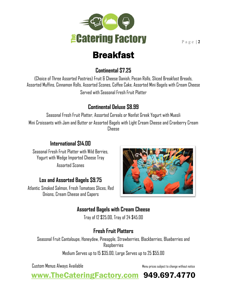

#### **Continental \$7.25**

(Choice of Three Assorted Pastries) Fruit & Cheese Danish, Pecan Rolls, Sliced Breakfast Breads, Assorted Muffins, Cinnamon Rolls, Assorted Scones, Coffee Cake, Assorted Mini Bagels with Cream Cheese Served with Seasonal Fresh Fruit Platter

#### **Continental Deluxe \$8.99**

Seasonal Fresh Fruit Platter, Assorted Cereals or Nonfat Greek Yogurt with Muesli Mini Croissants with Jam and Butter or Assorted Bagels with Light Cream Cheese and Cranberry Cream Cheese

#### **International \$14.00**

Seasonal Fresh Fruit Platter with Wild Berries, Yogurt with Wedge Imported Cheese Tray Assorted Scones

#### **Lox and Assorted Bagels \$9.75**

Atlantic Smoked Salmon, Fresh Tomatoes Slices, Red Onions, Cream Cheese and Capers



#### **Assorted Bagels with Cream Cheese**

Tray of 12 \$25.00, Tray of 24 \$45.00

#### **Fresh Fruit Platters**

Seasonal Fruit Cantaloupe, Honeydew, Pineapple, Strawberries, Blackberries, Blueberries and Raspberries

Medium Serves up to 15 \$35.00, Large Serves up to 25 \$55.00

Custom Menus Always Available Menu prices subject to change without notice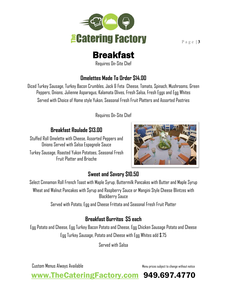

Requires On-Site Chef

#### **Omelettes Made To Order \$14.00**

Diced Turkey Sausage, Turkey Bacon Crumbles, Jack & Feta Cheese, Tomato, Spinach, Mushrooms, Green Peppers, Onions, Julienne Asparagus, Kalamata Olives, Fresh Salsa, Fresh Eggs and Egg Whites Served with Choice of Home style Yukon, Seasonal Fresh Fruit Platters and Assorted Pastries

Requires On-Site Chef

#### **Breakfast Roulade \$13.00**

Stuffed Roll Omelette with Cheese, Assorted Peppers and Onions Served with Salsa Espagnole Sauce

Turkey Sausage, Roasted Yukon Potatoes, Seasonal Fresh Fruit Platter and Brioche



#### **Sweet and Savory \$10.50**

Select Cinnamon Roll French Toast with Maple Syrup, Buttermilk Pancakes with Butter and Maple Syrup Wheat and Walnut Pancakes with Syrup and Raspberry Sauce or Mangini Style Cheese Blintzes with Blackberry Sauce

Served with Potato, Egg and Cheese Frittata and Seasonal Fresh Fruit Platter

#### **Breakfast Burritos \$5 each**

Egg Potato and Cheese, Egg Turkey Bacon Potato and Cheese, Egg Chicken Sausage Potato and Cheese Egg Turkey Sausage, Potato and Cheese with Egg Whites add \$.75

Served with Salsa

Custom Menus Always Available Menu prices subject to change without notice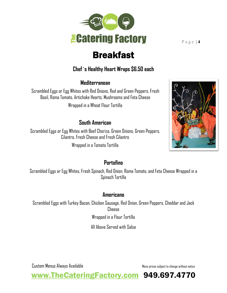

#### **Chef`s Healthy Heart Wraps \$6.50 each**

#### **Mediterranean**

Scrambled Eggs or Egg Whites with Red Onions, Red and Green Peppers, Fresh Basil, Roma Tomato, Artichoke Hearts, Mushrooms and Feta Cheese

Wrapped in a Wheat Flour Tortilla

#### **South American**

Scrambled Eggs or Egg Whites with Beef Chorizo, Green Onions, Green Peppers, Cilantro, Fresh Cheese and Fresh Cilantro Wrapped in a Tomato Tortilla

#### **Portofino**

Scrambled Eggs or Egg Whites, Fresh Spinach, Red Onion, Roma Tomato, and Feta Cheese Wrapped in a Spinach Tortilla

#### **Americano**

Scrambled Eggs with Turkey Bacon, Chicken Sausage, Red Onion, Green Peppers, Cheddar and Jack Cheese Wrapped in a Flour Tortilla

All Above Served with Salsa

Custom Menus Always Available Menu prices subject to change without notice

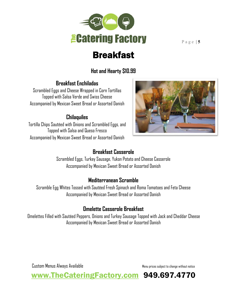

#### **Hot and Hearty \$10.99**

#### **Breakfast Enchiladas**

Scrambled Eggs and Cheese Wrapped in Corn Tortillas Topped with Salsa Verde and Swiss Cheese Accompanied by Mexican Sweet Bread or Assorted Danish

#### **Chilaquiles**

Tortilla Chips Sautéed with Onions and Scrambled Eggs, and Topped with Salsa and Queso Fresco Accompanied by Mexican Sweet Bread or Assorted Danish



#### **Breakfast Casserole**

Scrambled Eggs, Turkey Sausage, Yukon Potato and Cheese Casserole Accompanied by Mexican Sweet Bread or Assorted Danish

#### **Mediterranean Scramble**

Scramble Egg Whites Tossed with Sautéed Fresh Spinach and Roma Tomatoes and Feta Cheese Accompanied by Mexican Sweet Bread or Assorted Danish

#### **Omelette Casserole Breakfast**

Omelettes Filled with Sautéed Peppers, Onions and Turkey Sausage Topped with Jack and Cheddar Cheese Accompanied by Mexican Sweet Bread or Assorted Danish

Custom Menus Always Available Menu prices subject to change without notice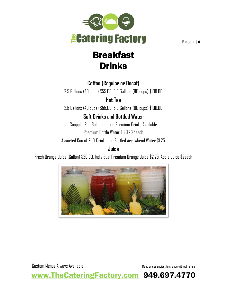

## Breakfast Drinks

#### **Coffee (Regular or Decaf)**

2.5 Gallons (40 cups) \$55.00, 5.0 Gallons (80 cups) \$100.00

**Hot Tea**

2.5 Gallons (40 cups) \$55.00, 5.0 Gallons (80 cups) \$100.00

#### **Soft Drinks and Bottled Water**

Snapple, Red Bull and other Premium Drinks Available Premium Bottle Water Fiji \$2.25each

Assorted Can of Soft Drinks and Bottled Arrowhead Water \$1.25

#### **Juice**

Fresh Orange Juice (Gallon) \$20.00, Individual Premium Orange Juice \$2.25, Apple Juice \$2each



Custom Menus Always Available Menu prices subject to change without notice